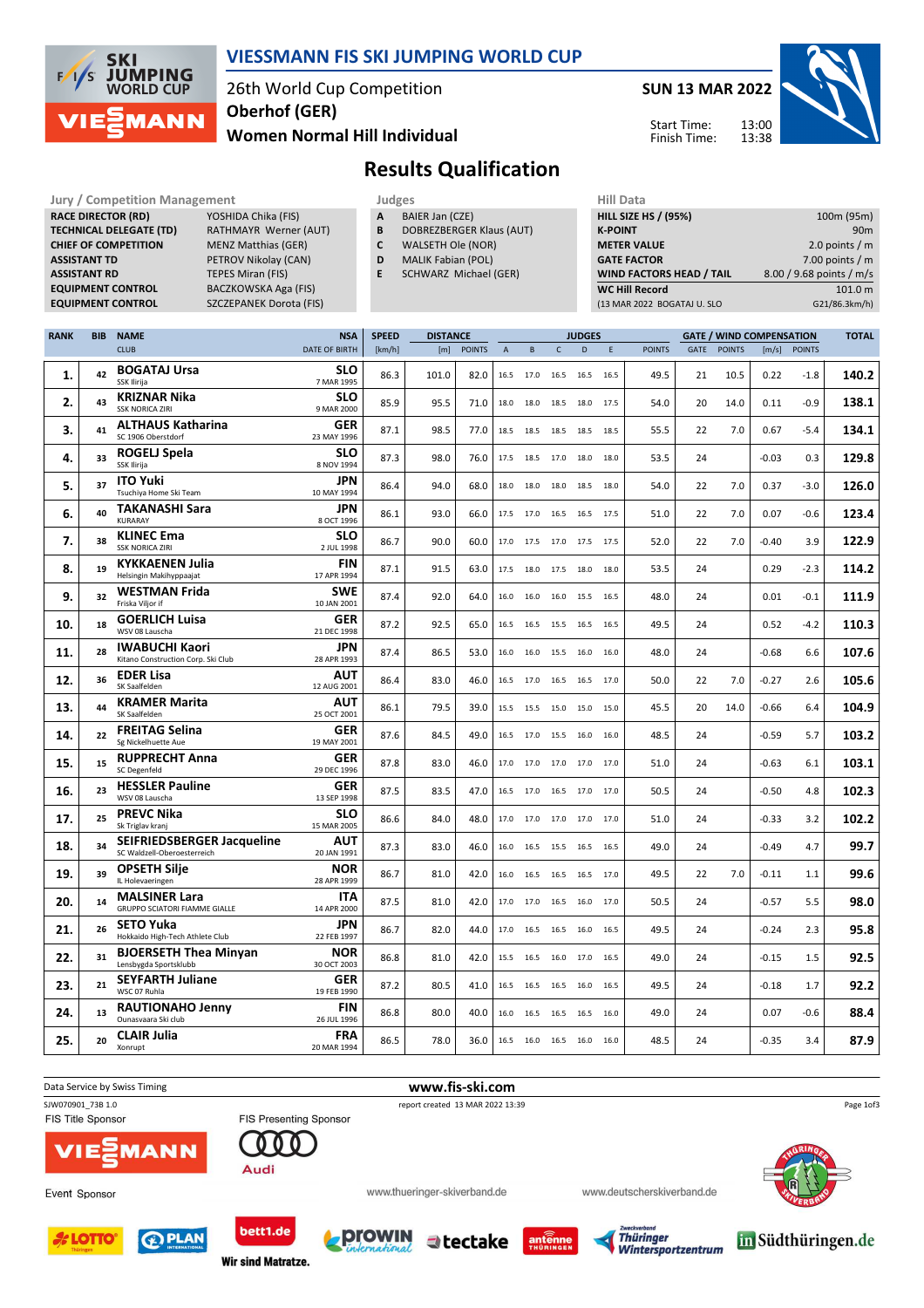

### VIESSMANN FIS SKI JUMPING WORLD CUP

26th World Cup Competition Women Normal Hill Individual Oberhof (GER)

SUN 13 MAR 2022

Start Time: Finish Time: 13:00 13:38



### Results Qualification

Jury / Competition Management **Judges** Judges Hill Data<br>
RACE DIRECTOR (RD) YOSHIDA Chika (FIS) **A** BAIER Jan (CZE) HILL SIZE HILL SIZE HILL SIZE RACE DIRECTOR (RD) **TECHNICAL DELEGATE (TD)** RATHMAYR Werner (AUT)<br>**CHIEF OF COMPETITION** MENZ Matthias (GER) CHIEF OF COMPETITION **ASSISTANT TD** PETROV Nikolay (CAN) **ASSISTANT RD** TEPES Miran (FIS)<br> **EQUIPMENT CONTROL** BACZKOWSKA Aga

BACZKOWSKA Aga (FIS) EQUIPMENT CONTROL SZCZEPANEK Dorota (FIS)

| Judges |                 |  |
|--------|-----------------|--|
| A      | BAIER Jan (CZE) |  |

- **B** DOBREZBERGER Klaus (AUT)<br>**C** WALSETH Ole (NOR)
- WALSETH Ole (NOR)
- D MALIK Fabian (POL)
- E SCHWARZ Michael (GER)

| 100m (95m)               |
|--------------------------|
| 90 <sub>m</sub>          |
| 2.0 points $/m$          |
| 7.00 points $/m$         |
| 8.00 / 9.68 points / m/s |
| 101.0 m                  |
| G21/86.3km/h)            |
|                          |

| <b>RANK</b> | <b>BIB</b> | <b>NAME</b>                                                  | <b>NSA</b>                | <b>SPEED</b> | <b>DISTANCE</b> |               |                           | <b>JUDGES</b>       |              |                          |      |               | <b>GATE / WIND COMPENSATION</b> |               |         |               | <b>TOTAL</b> |
|-------------|------------|--------------------------------------------------------------|---------------------------|--------------|-----------------|---------------|---------------------------|---------------------|--------------|--------------------------|------|---------------|---------------------------------|---------------|---------|---------------|--------------|
|             |            | <b>CLUB</b>                                                  | <b>DATE OF BIRTH</b>      | [km/h]       | [m]             | <b>POINTS</b> | $\boldsymbol{\mathsf{A}}$ | B                   | $\mathsf{C}$ | D                        | E    | <b>POINTS</b> | GATE                            | <b>POINTS</b> | [m/s]   | <b>POINTS</b> |              |
| 1.          | 42         | <b>BOGATAJ Ursa</b><br>SSK Ilirija                           | <b>SLO</b><br>7 MAR 1995  | 86.3         | 101.0           | 82.0          |                           | 16.5 17.0           | 16.5         | 16.5                     | 16.5 | 49.5          | 21                              | 10.5          | 0.22    | $-1.8$        | 140.2        |
| 2.          | 43         | <b>KRIZNAR Nika</b><br><b>SSK NORICA ZIRI</b>                | <b>SLO</b><br>9 MAR 2000  | 85.9         | 95.5            | 71.0          | 18.0                      |                     |              | 18.0 18.5 18.0 17.5      |      | 54.0          | 20                              | 14.0          | 0.11    | $-0.9$        | 138.1        |
| 3.          | 41         | <b>ALTHAUS Katharina</b><br>SC 1906 Oberstdorf               | <b>GER</b><br>23 MAY 1996 | 87.1         | 98.5            | 77.0          | 18.5                      |                     | 18.5 18.5    | 18.5 18.5                |      | 55.5          | 22                              | 7.0           | 0.67    | $-5.4$        | 134.1        |
| 4.          | 33         | <b>ROGELJ Spela</b><br>SSK Ilirija                           | <b>SLO</b><br>8 NOV 1994  | 87.3         | 98.0            | 76.0          | 17.5                      | 18.5                | 17.0         | 18.0                     | 18.0 | 53.5          | 24                              |               | $-0.03$ | 0.3           | 129.8        |
| 5.          | 37         | <b>ITO Yuki</b><br>Tsuchiya Home Ski Team                    | <b>JPN</b><br>10 MAY 1994 | 86.4         | 94.0            | 68.0          | 18.0                      | 18.0                | 18.0         | 18.5                     | 18.0 | 54.0          | 22                              | 7.0           | 0.37    | $-3.0$        | 126.0        |
| 6.          | 40         | <b>TAKANASHI Sara</b><br><b>KURARAY</b>                      | <b>JPN</b><br>8 OCT 1996  | 86.1         | 93.0            | 66.0          | 17.5                      | 17.0                | 16.5         | 16.5                     | 17.5 | 51.0          | 22                              | 7.0           | 0.07    | $-0.6$        | 123.4        |
| 7.          | 38         | <b>KLINEC Ema</b><br><b>SSK NORICA ZIRI</b>                  | <b>SLO</b><br>2 JUL 1998  | 86.7         | 90.0            | 60.0          | 17.0                      | 17.5                | 17.0         | 17.5 17.5                |      | 52.0          | 22                              | 7.0           | $-0.40$ | 3.9           | 122.9        |
| 8.          | 19         | <b>KYKKAENEN Julia</b><br>Helsingin Makihyppaajat            | <b>FIN</b><br>17 APR 1994 | 87.1         | 91.5            | 63.0          |                           | 17.5 18.0 17.5 18.0 |              |                          | 18.0 | 53.5          | 24                              |               | 0.29    | $-2.3$        | 114.2        |
| 9.          | 32         | <b>WESTMAN Frida</b><br>Friska Viljor if                     | <b>SWE</b><br>10 JAN 2001 | 87.4         | 92.0            | 64.0          |                           |                     |              | 16.0 16.0 16.0 15.5 16.5 |      | 48.0          | 24                              |               | 0.01    | $-0.1$        | 111.9        |
| 10.         | 18         | <b>GOERLICH Luisa</b><br>WSV 08 Lauscha                      | GER<br>21 DEC 1998        | 87.2         | 92.5            | 65.0          |                           | 16.5 16.5 15.5      |              | 16.5 16.5                |      | 49.5          | 24                              |               | 0.52    | $-4.2$        | 110.3        |
| 11.         | 28         | <b>IWABUCHI Kaori</b><br>Kitano Construction Corp. Ski Club  | <b>JPN</b><br>28 APR 1993 | 87.4         | 86.5            | 53.0          | 16.0                      | 16.0                | 15.5 16.0    |                          | 16.0 | 48.0          | 24                              |               | $-0.68$ | 6.6           | 107.6        |
| 12.         | 36         | <b>EDER Lisa</b><br>SK Saalfelden                            | <b>AUT</b><br>12 AUG 2001 | 86.4         | 83.0            | 46.0          | 16.5                      | 17.0                | 16.5         | 16.5                     | 17.0 | 50.0          | 22                              | 7.0           | $-0.27$ | 2.6           | 105.6        |
| 13.         | 44         | <b>KRAMER Marita</b><br>SK Saalfelden                        | AUT<br>25 OCT 2001        | 86.1         | 79.5            | 39.0          | 15.5                      | 15.5 15.0           |              | 15.0                     | 15.0 | 45.5          | 20                              | 14.0          | $-0.66$ | 6.4           | 104.9        |
| 14.         | 22         | <b>FREITAG Selina</b><br>Sg Nickelhuette Aue                 | <b>GER</b><br>19 MAY 2001 | 87.6         | 84.5            | 49.0          | 16.5                      | 17.0                | 15.5         | 16.0                     | 16.0 | 48.5          | 24                              |               | $-0.59$ | 5.7           | 103.2        |
| 15.         | 15         | <b>RUPPRECHT Anna</b><br>SC Degenfeld                        | <b>GER</b><br>29 DEC 1996 | 87.8         | 83.0            | 46.0          | 17.0                      | 17.0                | 17.0         | 17.0                     | 17.0 | 51.0          | 24                              |               | $-0.63$ | 6.1           | 103.1        |
| 16.         | 23         | <b>HESSLER Pauline</b><br>WSV 08 Lauscha                     | GER<br>13 SEP 1998        | 87.5         | 83.5            | 47.0          |                           |                     |              | 16.5 17.0 16.5 17.0 17.0 |      | 50.5          | 24                              |               | $-0.50$ | 4.8           | 102.3        |
| 17.         | 25         | <b>PREVC Nika</b><br>Sk Triglav kranj                        | <b>SLO</b><br>15 MAR 2005 | 86.6         | 84.0            | 48.0          |                           |                     |              | 17.0 17.0 17.0 17.0 17.0 |      | 51.0          | 24                              |               | $-0.33$ | 3.2           | 102.2        |
| 18.         | 34         | SEIFRIEDSBERGER Jacqueline<br>SC Waldzell-Oberoesterreich    | AUT<br>20 JAN 1991        | 87.3         | 83.0            | 46.0          | 16.0                      |                     |              | 16.5 15.5 16.5 16.5      |      | 49.0          | 24                              |               | $-0.49$ | 4.7           | 99.7         |
| 19.         | 39         | <b>OPSETH Silje</b><br>IL Holevaeringen                      | <b>NOR</b><br>28 APR 1999 | 86.7         | 81.0            | 42.0          | 16.0                      | 16.5                | 16.5         | 16.5                     | 17.0 | 49.5          | 22                              | 7.0           | $-0.11$ | 1.1           | 99.6         |
| 20.         | 14         | <b>MALSINER Lara</b><br><b>GRUPPO SCIATORI FIAMME GIALLE</b> | ITA<br>14 APR 2000        | 87.5         | 81.0            | 42.0          | 17.0                      |                     |              | 17.0 16.5 16.0 17.0      |      | 50.5          | 24                              |               | $-0.57$ | 5.5           | 98.0         |
| 21.         | 26         | <b>SETO Yuka</b><br>Hokkaido High-Tech Athlete Club          | <b>JPN</b><br>22 FEB 1997 | 86.7         | 82.0            | 44.0          | 17.0                      | 16.5                | 16.5         | 16.0                     | 16.5 | 49.5          | 24                              |               | $-0.24$ | 2.3           | 95.8         |
| 22.         | 31         | <b>BJOERSETH Thea Minyan</b><br>Lensbygda Sportsklubb        | <b>NOR</b><br>30 OCT 2003 | 86.8         | 81.0            | 42.0          | 15.5                      | 16.5                | 16.0         | 17.0                     | 16.5 | 49.0          | 24                              |               | $-0.15$ | 1.5           | 92.5         |
| 23.         | 21         | <b>SEYFARTH Juliane</b><br>WSC 07 Ruhla                      | <b>GER</b><br>19 FEB 1990 | 87.2         | 80.5            | 41.0          | 16.5                      | 16.5                | 16.5         | 16.0                     | 16.5 | 49.5          | 24                              |               | $-0.18$ | 1.7           | 92.2         |
| 24.         | 13         | <b>RAUTIONAHO Jenny</b><br>Ounasvaara Ski club               | <b>FIN</b><br>26 JUL 1996 | 86.8         | 80.0            | 40.0          |                           |                     |              | 16.0 16.5 16.5 16.5 16.0 |      | 49.0          | 24                              |               | 0.07    | $-0.6$        | 88.4         |
| 25.         | 20         | <b>CLAIR Julia</b><br>Xonrupt                                | <b>FRA</b><br>20 MAR 1994 | 86.5         | 78.0            | 36.0          |                           |                     |              | 16.5 16.0 16.5 16.0 16.0 |      | 48.5          | 24                              |               | $-0.35$ | 3.4           | 87.9         |







www.thueringer-skiverband.de



Page 1of3







Audi







www.deutscherskiverband.de

in Südthüringen.de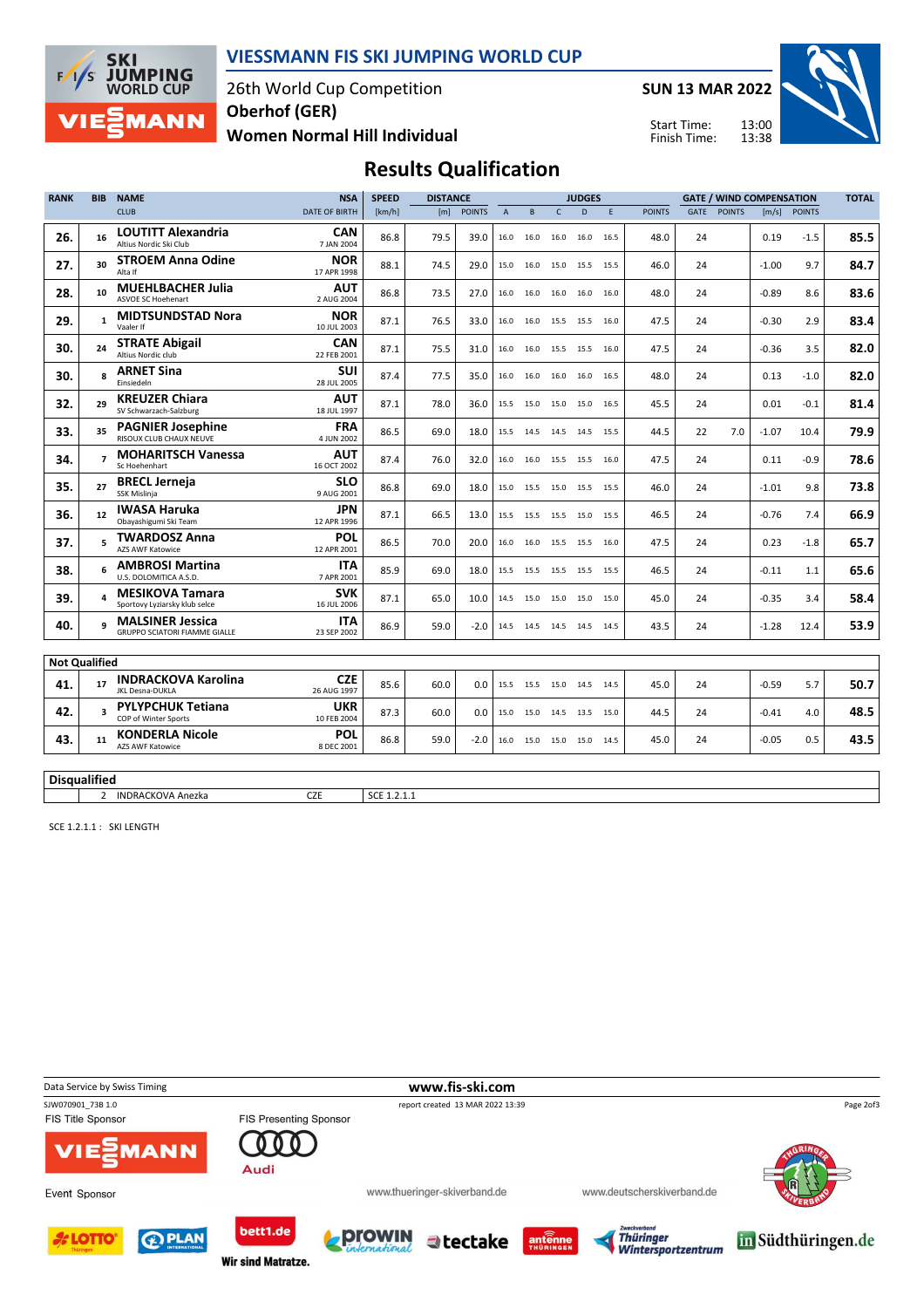

### VIESSMANN FIS SKI JUMPING WORLD CUP

26th World Cup Competition Women Normal Hill Individual Oberhof (GER)

SUN 13 MAR 2022



13:00 13:38 Start Time: Finish Time:

# Results Qualification

| <b>RANK</b> | <b>BIB</b>              | <b>NAME</b>                                                     | <b>NSA</b>                | <b>SPEED</b> | <b>DISTANCE</b> |               |                | <b>JUDGES</b> |              |                          |   | <b>GATE / WIND COMPENSATION</b> |             |               |         | <b>TOTAL</b>   |      |
|-------------|-------------------------|-----------------------------------------------------------------|---------------------------|--------------|-----------------|---------------|----------------|---------------|--------------|--------------------------|---|---------------------------------|-------------|---------------|---------|----------------|------|
|             |                         | <b>CLUB</b>                                                     | <b>DATE OF BIRTH</b>      | [km/h]       | [m]             | <b>POINTS</b> | $\overline{A}$ | B             | $\mathsf{C}$ | D                        | F | <b>POINTS</b>                   | <b>GATE</b> | <b>POINTS</b> |         | $[m/s]$ POINTS |      |
| 26.         | 16                      | <b>LOUTITT Alexandria</b><br>Altius Nordic Ski Club             | <b>CAN</b><br>7 JAN 2004  | 86.8         | 79.5            | 39.0          | 16.0           | 16.0          | 16.0         | 16.0 16.5                |   | 48.0                            | 24          |               | 0.19    | $-1.5$         | 85.5 |
| 27.         | 30                      | <b>STROEM Anna Odine</b><br>Alta If                             | <b>NOR</b><br>17 APR 1998 | 88.1         | 74.5            | 29.0          |                | 15.0 16.0     |              | 15.0 15.5 15.5           |   | 46.0                            | 24          |               | $-1.00$ | 9.7            | 84.7 |
| 28.         | 10                      | <b>MUEHLBACHER Julia</b><br><b>ASVOE SC Hoehenart</b>           | <b>AUT</b><br>2 AUG 2004  | 86.8         | 73.5            | 27.0          |                | 16.0 16.0     | 16.0         | 16.0 16.0                |   | 48.0                            | 24          |               | $-0.89$ | 8.6            | 83.6 |
| 29.         | $\mathbf{1}$            | <b>MIDTSUNDSTAD Nora</b><br>Vaaler If                           | <b>NOR</b><br>10 JUL 2003 | 87.1         | 76.5            | 33.0          |                | 16.0 16.0     |              | 15.5 15.5 16.0           |   | 47.5                            | 24          |               | $-0.30$ | 2.9            | 83.4 |
| 30.         | 24                      | <b>STRATE Abigail</b><br>Altius Nordic club                     | <b>CAN</b><br>22 FEB 2001 | 87.1         | 75.5            | 31.0          |                | 16.0 16.0     |              | 15.5 15.5 16.0           |   | 47.5                            | 24          |               | $-0.36$ | 3.5            | 82.0 |
| 30.         | $\mathbf{R}$            | <b>ARNET Sina</b><br>Einsiedeln                                 | <b>SUI</b><br>28 JUL 2005 | 87.4         | 77.5            | 35.0          | 16.0           | 16.0          | 16.0         | 16.0 16.5                |   | 48.0                            | 24          |               | 0.13    | $-1.0$         | 82.0 |
| 32.         | 29                      | <b>KREUZER Chiara</b><br>SV Schwarzach-Salzburg                 | <b>AUT</b><br>18 JUL 1997 | 87.1         | 78.0            | 36.0          | 15.5 15.0      |               |              | 15.0 15.0 16.5           |   | 45.5                            | 24          |               | 0.01    | $-0.1$         | 81.4 |
| 33.         | 35                      | <b>PAGNIER Josephine</b><br>RISOUX CLUB CHAUX NEUVE             | <b>FRA</b><br>4 JUN 2002  | 86.5         | 69.0            | 18.0          |                | 15.5 14.5     |              | 14.5 14.5 15.5           |   | 44.5                            | 22          | 7.0           | $-1.07$ | 10.4           | 79.9 |
| 34.         | $\overline{ }$          | <b>MOHARITSCH Vanessa</b><br>Sc Hoehenhart                      | <b>AUT</b><br>16 OCT 2002 | 87.4         | 76.0            | 32.0          |                | 16.0 16.0     |              | 15.5 15.5 16.0           |   | 47.5                            | 24          |               | 0.11    | $-0.9$         | 78.6 |
| 35.         | 27                      | <b>BRECL Jerneja</b><br><b>SSK Mislinia</b>                     | <b>SLO</b><br>9 AUG 2001  | 86.8         | 69.0            | 18.0          |                | 15.0 15.5     |              | 15.0 15.5 15.5           |   | 46.0                            | 24          |               | $-1.01$ | 9.8            | 73.8 |
| 36.         | 12 <sup>1</sup>         | <b>IWASA Haruka</b><br>Obayashigumi Ski Team                    | <b>JPN</b><br>12 APR 1996 | 87.1         | 66.5            | 13.0          |                | 15.5 15.5     |              | 15.5 15.0 15.5           |   | 46.5                            | 24          |               | $-0.76$ | 7.4            | 66.9 |
| 37.         | 5                       | <b>TWARDOSZ Anna</b><br><b>AZS AWF Katowice</b>                 | POL<br>12 APR 2001        | 86.5         | 70.0            | 20.0          | 16.0           | 16.0          |              | 15.5 15.5 16.0           |   | 47.5                            | 24          |               | 0.23    | $-1.8$         | 65.7 |
| 38.         | 6                       | <b>AMBROSI Martina</b><br>U.S. DOLOMITICA A.S.D.                | <b>ITA</b><br>7 APR 2001  | 85.9         | 69.0            | 18.0          | 15.5           | 15.5          | 15.5         | 15.5 15.5                |   | 46.5                            | 24          |               | $-0.11$ | 1.1            | 65.6 |
| 39.         | $\Delta$                | <b>MESIKOVA Tamara</b><br>Sportovy Lyziarsky klub selce         | <b>SVK</b><br>16 JUL 2006 | 87.1         | 65.0            | 10.0          |                | 14.5 15.0     |              | 15.0 15.0 15.0           |   | 45.0                            | 24          |               | $-0.35$ | 3.4            | 58.4 |
| 40.         | $\mathbf{q}$            | <b>MALSINER Jessica</b><br><b>GRUPPO SCIATORI FIAMME GIALLE</b> | <b>ITA</b><br>23 SEP 2002 | 86.9         | 59.0            | $-2.0$        |                |               |              | 14.5 14.5 14.5 14.5 14.5 |   | 43.5                            | 24          |               | $-1.28$ | 12.4           | 53.9 |
|             | <b>Not Qualified</b>    |                                                                 |                           |              |                 |               |                |               |              |                          |   |                                 |             |               |         |                |      |
| 41.         | 17                      | <b>INDRACKOVA Karolina</b><br>JKL Desna-DUKLA                   | <b>CZE</b><br>26 AUG 1997 | 85.6         | 60.0            | 0.0           |                | 15.5 15.5     |              | 15.0 14.5 14.5           |   | 45.0                            | 24          |               | $-0.59$ | 5.7            | 50.7 |
| 42.         | $\overline{\mathbf{3}}$ | <b>PYLYPCHUK Tetiana</b><br>COP of Winter Sports                | <b>UKR</b><br>10 FEB 2004 | 87.3         | 60.0            | 0.0           |                | 15.0 15.0     |              | 14.5 13.5 15.0           |   | 44.5                            | 24          |               | $-0.41$ | 4.0            | 48.5 |
| 43.         | 11                      | <b>KONDERLA Nicole</b><br>AZS AWF Katowice                      | <b>POL</b><br>8 DEC 2001  | 86.8         | 59.0            | $-2.0$        |                | 16.0 15.0     |              | 15.0 15.0 14.5           |   | 45.0                            | 24          |               | $-0.05$ | 0.5            | 43.5 |
|             |                         |                                                                 |                           |              |                 |               |                |               |              |                          |   |                                 |             |               |         |                |      |

**Disqualified** 

2 INDRACKOVA Anezka<br>
CZE SCE 1.2.1.1

SCE 1.2.1.1 : SKI LENGTH